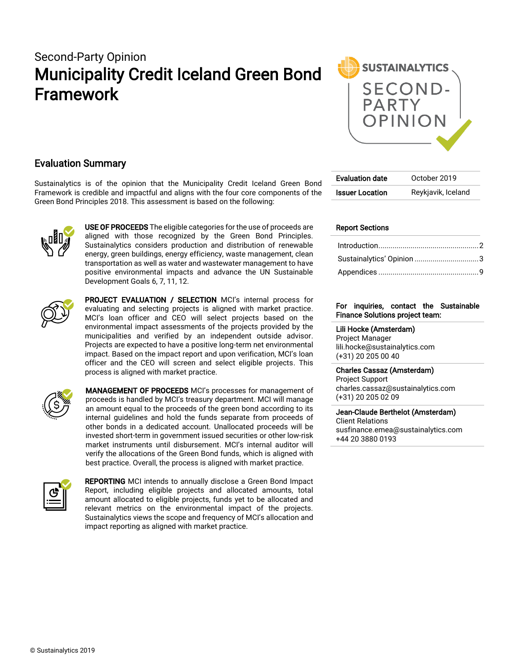# Second-Party Opinion Municipality Credit Iceland Green Bond Framework



## Evaluation Summary

Sustainalytics is of the opinion that the Municipality Credit Iceland Green Bond Framework is credible and impactful and aligns with the four core components of the Green Bond Principles 2018. This assessment is based on the following:



USE OF PROCEEDS The eligible categories for the use of proceeds are aligned with those recognized by the Green Bond Principles. Sustainalytics considers production and distribution of renewable energy, green buildings, energy efficiency, waste management, clean transportation as well as water and wastewater management to have positive environmental impacts and advance the UN Sustainable Development Goals 6, 7, 11, 12.



PROJECT EVALUATION / SELECTION MCI's internal process for evaluating and selecting projects is aligned with market practice. MCI's loan officer and CEO will select projects based on the environmental impact assessments of the projects provided by the municipalities and verified by an independent outside advisor. Projects are expected to have a positive long-term net environmental impact. Based on the impact report and upon verification, MCI's loan officer and the CEO will screen and select eligible projects. This process is aligned with market practice.



MANAGEMENT OF PROCEEDS MCI's processes for management of proceeds is handled by MCI's treasury department. MCI will manage an amount equal to the proceeds of the green bond according to its internal guidelines and hold the funds separate from proceeds of other bonds in a dedicated account. Unallocated proceeds will be invested short-term in government issued securities or other low-risk market instruments until disbursement. MCI's internal auditor will verify the allocations of the Green Bond funds, which is aligned with best practice. Overall, the process is aligned with market practice.



REPORTING MCI intends to annually disclose a Green Bond Impact Report, including eligible projects and allocated amounts, total amount allocated to eligible projects, funds yet to be allocated and relevant metrics on the environmental impact of the projects. Sustainalytics views the scope and frequency of MCI's allocation and impact reporting as aligned with market practice.

| Evaluation date        | October 2019       |
|------------------------|--------------------|
| <b>Issuer Location</b> | Reykjavik, Iceland |

### Report Sections

#### For inquiries, contact the Sustainable Finance Solutions project team:

 Lili Hocke (Amsterdam) Project Manager lili.hocke@sustainalytics.com (+31) 20 205 00 40

#### Charles Cassaz (Amsterdam)

Project Support charles.cassaz@sustainalytics.com (+31) 20 205 02 09

Jean-Claude Berthelot (Amsterdam) Client Relations [susfinance.emea@sustainalytics.com](mailto:susfinance.emea@sustainalytics.com) +44 20 3880 0193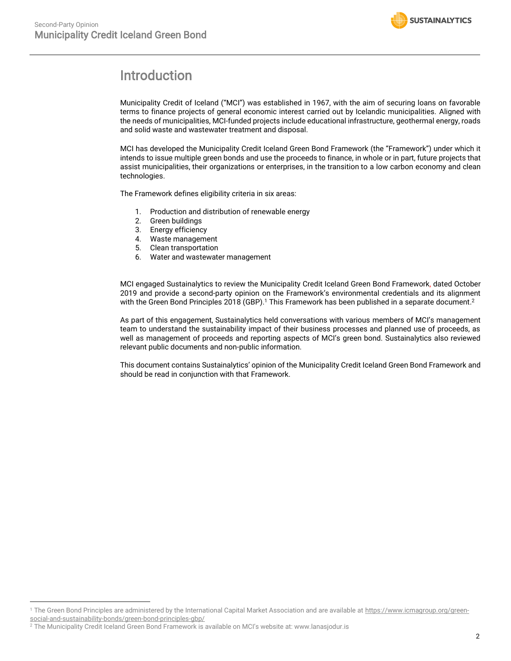

# <span id="page-1-0"></span>Introduction

Municipality Credit of Iceland ("MCI") was established in 1967, with the aim of securing loans on favorable terms to finance projects of general economic interest carried out by Icelandic municipalities. Aligned with the needs of municipalities, MCI-funded projects include educational infrastructure, geothermal energy, roads and solid waste and wastewater treatment and disposal.

MCI has developed the Municipality Credit Iceland Green Bond Framework (the "Framework") under which it intends to issue multiple green bonds and use the proceeds to finance, in whole or in part, future projects that assist municipalities, their organizations or enterprises, in the transition to a low carbon economy and clean technologies.

The Framework defines eligibility criteria in six areas:

- 1. Production and distribution of renewable energy
- 2. Green buildings
- 3. Energy efficiency<br>4. Waste manageme
- Waste management
- 5. Clean transportation
- 6. Water and wastewater management

MCI engaged Sustainalytics to review the Municipality Credit Iceland Green Bond Framework, dated October 2019 and provide a second-party opinion on the Framework's environmental credentials and its alignment with the Green Bond Principles 2018 (GBP). <sup>1</sup> This Framework has been published in a separate document. 2

As part of this engagement, Sustainalytics held conversations with various members of MCI's management team to understand the sustainability impact of their business processes and planned use of proceeds, as well as management of proceeds and reporting aspects of MCI's green bond. Sustainalytics also reviewed relevant public documents and non-public information.

This document contains Sustainalytics' opinion of the Municipality Credit Iceland Green Bond Framework and should be read in conjunction with that Framework.

<sup>1</sup> The Green Bond Principles are administered by the International Capital Market Association and are available a[t https://www.icmagroup.org/green](https://www.icmagroup.org/green-social-and-sustainability-bonds/green-bond-principles-gbp/)[social-and-sustainability-bonds/green-bond-principles-gbp/](https://www.icmagroup.org/green-social-and-sustainability-bonds/green-bond-principles-gbp/) 

 $^2$  The Municipality Credit Iceland Green Bond Framework is available on MCI's website at: www.lanasjodur.is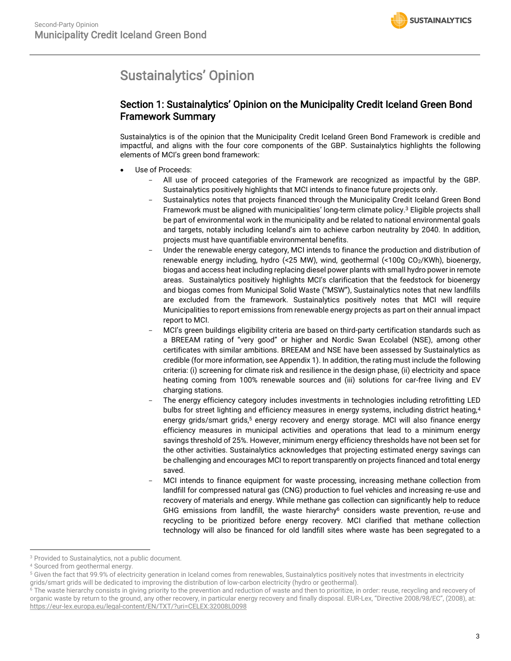# <span id="page-2-0"></span>Sustainalytics' Opinion

# Section 1: Sustainalytics' Opinion on the Municipality Credit Iceland Green Bond Framework Summary

Sustainalytics is of the opinion that the Municipality Credit Iceland Green Bond Framework is credible and impactful, and aligns with the four core components of the GBP. Sustainalytics highlights the following elements of MCI's green bond framework:

- Use of Proceeds:
	- All use of proceed categories of the Framework are recognized as impactful by the GBP. Sustainalytics positively highlights that MCI intends to finance future projects only.
	- Sustainalytics notes that projects financed through the Municipality Credit Iceland Green Bond Framework must be aligned with municipalities' long-term climate policy.<sup>3</sup> Eligible projects shall be part of environmental work in the municipality and be related to national environmental goals and targets, notably including Iceland's aim to achieve carbon neutrality by 2040. In addition, projects must have quantifiable environmental benefits.
	- Under the renewable energy category, MCI intends to finance the production and distribution of renewable energy including, hydro (<25 MW), wind, geothermal (<100g CO2/KWh), bioenergy, biogas and access heat including replacing diesel power plants with small hydro power in remote areas. Sustainalytics positively highlights MCI's clarification that the feedstock for bioenergy and biogas comes from Municipal Solid Waste ("MSW"), Sustainalytics notes that new landfills are excluded from the framework. Sustainalytics positively notes that MCI will require Municipalities to report emissions from renewable energy projects as part on their annual impact report to MCI.
	- MCI's green buildings eligibility criteria are based on third-party certification standards such as a BREEAM rating of "very good" or higher and Nordic Swan Ecolabel (NSE), among other certificates with similar ambitions. BREEAM and NSE have been assessed by Sustainalytics as credible (for more information, see Appendix 1). In addition, the rating must include the following criteria: (i) screening for climate risk and resilience in the design phase, (ii) electricity and space heating coming from 100% renewable sources and (iii) solutions for car-free living and EV charging stations.
	- The energy efficiency category includes investments in technologies including retrofitting LED bulbs for street lighting and efficiency measures in energy systems, including district heating,<sup>4</sup> energy grids/smart grids,<sup>5</sup> energy recovery and energy storage. MCI will also finance energy efficiency measures in municipal activities and operations that lead to a minimum energy savings threshold of 25%. However, minimum energy efficiency thresholds have not been set for the other activities. Sustainalytics acknowledges that projecting estimated energy savings can be challenging and encourages MCI to report transparently on projects financed and total energy saved.
	- MCI intends to finance equipment for waste processing, increasing methane collection from landfill for compressed natural gas (CNG) production to fuel vehicles and increasing re-use and recovery of materials and energy. While methane gas collection can significantly help to reduce GHG emissions from landfill, the waste hierarchy<sup>6</sup> considers waste prevention, re-use and recycling to be prioritized before energy recovery. MCI clarified that methane collection technology will also be financed for old landfill sites where waste has been segregated to a

<sup>&</sup>lt;sup>3</sup> Provided to Sustainalytics, not a public document.

<sup>4</sup> Sourced from geothermal energy.

<sup>&</sup>lt;sup>5</sup> Given the fact that 99.9% of electricity generation in Iceland comes from renewables, Sustainalytics positively notes that investments in electricity grids/smart grids will be dedicated to improving the distribution of low-carbon electricity (hydro or geothermal).

<sup>&</sup>lt;sup>6</sup> The waste hierarchy consists in giving priority to the prevention and reduction of waste and then to prioritize, in order: reuse, recycling and recovery of organic waste by return to the ground, any other recovery, in particular energy recovery and finally disposal. EUR-Lex, "Directive 2008/98/EC", (2008), at: <https://eur-lex.europa.eu/legal-content/EN/TXT/?uri=CELEX:32008L0098>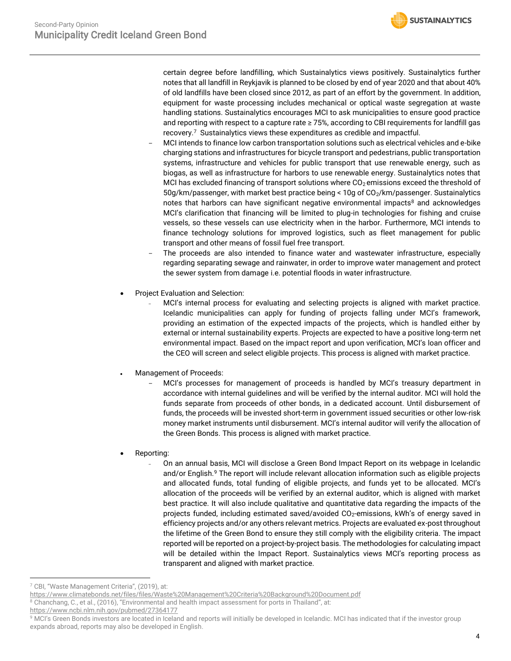certain degree before landfilling, which Sustainalytics views positively. Sustainalytics further notes that all landfill in Reykjavik is planned to be closed by end of year 2020 and that about 40% of old landfills have been closed since 2012, as part of an effort by the government. In addition, equipment for waste processing includes mechanical or optical waste segregation at waste handling stations. Sustainalytics encourages MCI to ask municipalities to ensure good practice and reporting with respect to a capture rate ≥ 75%, according to CBI requirements for landfill gas recovery.<sup>7</sup> Sustainalytics views these expenditures as credible and impactful.

- MCI intends to finance low carbon transportation solutions such as electrical vehicles and e-bike charging stations and infrastructures for bicycle transport and pedestrians, public transportation systems, infrastructure and vehicles for public transport that use renewable energy, such as biogas, as well as infrastructure for harbors to use renewable energy. Sustainalytics notes that MCI has excluded financing of transport solutions where  $CO<sub>2</sub>$  emissions exceed the threshold of 50g/km/passenger, with market best practice being < 10g of CO2/km/passenger. Sustainalytics notes that harbors can have significant negative environmental impacts<sup>8</sup> and acknowledges MCI's clarification that financing will be limited to plug-in technologies for fishing and cruise vessels, so these vessels can use electricity when in the harbor. Furthermore, MCI intends to finance technology solutions for improved logistics, such as fleet management for public transport and other means of fossil fuel free transport.
- The proceeds are also intended to finance water and wastewater infrastructure, especially regarding separating sewage and rainwater, in order to improve water management and protect the sewer system from damage i.e. potential floods in water infrastructure.
- Project Evaluation and Selection:
	- MCI's internal process for evaluating and selecting projects is aligned with market practice. Icelandic municipalities can apply for funding of projects falling under MCI's framework, providing an estimation of the expected impacts of the projects, which is handled either by external or internal sustainability experts. Projects are expected to have a positive long-term net environmental impact. Based on the impact report and upon verification, MCI's loan officer and the CEO will screen and select eligible projects. This process is aligned with market practice.
- Management of Proceeds:
	- MCI's processes for management of proceeds is handled by MCI's treasury department in accordance with internal guidelines and will be verified by the internal auditor. MCI will hold the funds separate from proceeds of other bonds, in a dedicated account. Until disbursement of funds, the proceeds will be invested short-term in government issued securities or other low-risk money market instruments until disbursement. MCI's internal auditor will verify the allocation of the Green Bonds. This process is aligned with market practice.
- Reporting:
	- On an annual basis, MCI will disclose a Green Bond Impact Report on its webpage in Icelandic and/or English.<sup>9</sup> The report will include relevant allocation information such as eligible projects and allocated funds, total funding of eligible projects, and funds yet to be allocated. MCI's allocation of the proceeds will be verified by an external auditor, which is aligned with market best practice. It will also include qualitative and quantitative data regarding the impacts of the projects funded, including estimated saved/avoided  $CO<sub>2</sub>$ -emissions, kWh's of energy saved in efficiency projects and/or any others relevant metrics. Projects are evaluated ex-post throughout the lifetime of the Green Bond to ensure they still comply with the eligibility criteria. The impact reported will be reported on a project-by-project basis. The methodologies for calculating impact will be detailed within the Impact Report. Sustainalytics views MCI's reporting process as transparent and aligned with market practice.

<sup>7</sup> CBI, "Waste Management Criteria", (2019), at:

<https://www.climatebonds.net/files/files/Waste%20Management%20Criteria%20Background%20Document.pdf>

<sup>8</sup> Chanchang, C., et al., (2016), "Environmental and health impact assessment for ports in Thailand", at:

<https://www.ncbi.nlm.nih.gov/pubmed/27364177>

<sup>&</sup>lt;sup>9</sup> MCI's Green Bonds investors are located in Iceland and reports will initially be developed in Icelandic. MCI has indicated that if the investor group expands abroad, reports may also be developed in English.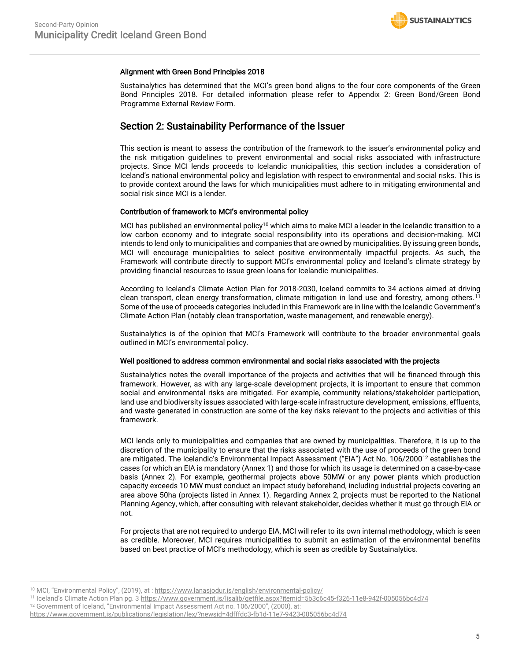#### Alignment with Green Bond Principles 2018

Sustainalytics has determined that the MCI's green bond aligns to the four core components of the Green Bond Principles 2018. For detailed information please refer to Appendix 2: Green Bond/Green Bond Programme External Review Form.

## Section 2: Sustainability Performance of the Issuer

This section is meant to assess the contribution of the framework to the issuer's environmental policy and the risk mitigation guidelines to prevent environmental and social risks associated with infrastructure projects. Since MCI lends proceeds to Icelandic municipalities, this section includes a consideration of Iceland's national environmental policy and legislation with respect to environmental and social risks. This is to provide context around the laws for which municipalities must adhere to in mitigating environmental and social risk since MCI is a lender.

#### Contribution of framework to MCI's environmental policy

MCI has published an environmental policy<sup>10</sup> which aims to make MCI a leader in the Icelandic transition to a low carbon economy and to integrate social responsibility into its operations and decision-making. MCI intends to lend only to municipalities and companies that are owned by municipalities. By issuing green bonds, MCI will encourage municipalities to select positive environmentally impactful projects. As such, the Framework will contribute directly to support MCI's environmental policy and Iceland's climate strategy by providing financial resources to issue green loans for Icelandic municipalities.

According to Iceland's Climate Action Plan for 2018-2030, Iceland commits to 34 actions aimed at driving clean transport, clean energy transformation, climate mitigation in land use and forestry, among others.<sup>11</sup> Some of the use of proceeds categories included in this Framework are in line with the Icelandic Government's Climate Action Plan (notably clean transportation, waste management, and renewable energy).

Sustainalytics is of the opinion that MCI's Framework will contribute to the broader environmental goals outlined in MCI's environmental policy.

#### Well positioned to address common environmental and social risks associated with the projects

Sustainalytics notes the overall importance of the projects and activities that will be financed through this framework. However, as with any large-scale development projects, it is important to ensure that common social and environmental risks are mitigated. For example, community relations/stakeholder participation, land use and biodiversity issues associated with large-scale infrastructure development, emissions, effluents, and waste generated in construction are some of the key risks relevant to the projects and activities of this framework.

MCI lends only to municipalities and companies that are owned by municipalities. Therefore, it is up to the discretion of the municipality to ensure that the risks associated with the use of proceeds of the green bond are mitigated. The Icelandic's Environmental Impact Assessment ("EIA") Act No. 106/2000<sup>12</sup> establishes the cases for which an EIA is mandatory (Annex 1) and those for which its usage is determined on a case-by-case basis (Annex 2). For example, geothermal projects above 50MW or any power plants which production capacity exceeds 10 MW must conduct an impact study beforehand, including industrial projects covering an area above 50ha (projects listed in Annex 1). Regarding Annex 2, projects must be reported to the National Planning Agency, which, after consulting with relevant stakeholder, decides whether it must go through EIA or not.

For projects that are not required to undergo EIA, MCI will refer to its own internal methodology, which is seen as credible. Moreover, MCI requires municipalities to submit an estimation of the environmental benefits based on best practice of MCI's methodology, which is seen as credible by Sustainalytics.

<sup>10</sup> MCI, "Environmental Policy", (2019), at [: https://www.lanasjodur.is/english/environmental-policy/](https://www.lanasjodur.is/english/environmental-policy/)

<sup>11</sup> Iceland's Climate Action Plan pg. 3 <https://www.government.is/lisalib/getfile.aspx?itemid=5b3c6c45-f326-11e8-942f-005056bc4d74>

<sup>&</sup>lt;sup>12</sup> Government of Iceland, "Environmental Impact Assessment Act no. 106/2000", (2000), at:

<https://www.government.is/publications/legislation/lex/?newsid=4dfffdc3-fb1d-11e7-9423-005056bc4d74>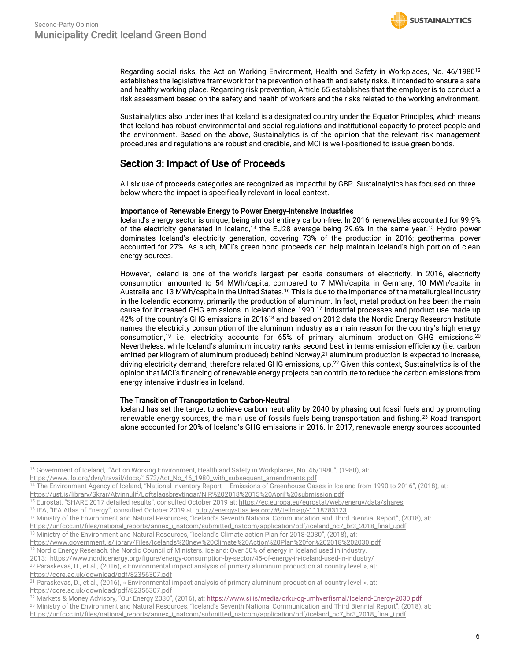

Regarding social risks, the Act on Working Environment, Health and Safety in Workplaces, No. 46/1980<sup>13</sup> establishes the legislative framework for the prevention of health and safety risks. It intended to ensure a safe and healthy working place. Regarding risk prevention, Article 65 establishes that the employer is to conduct a risk assessment based on the safety and health of workers and the risks related to the working environment.

Sustainalytics also underlines that Iceland is a designated country under the Equator Principles, which means that Iceland has robust environmental and social regulations and institutional capacity to protect people and the environment. Based on the above, Sustainalytics is of the opinion that the relevant risk management procedures and regulations are robust and credible, and MCI is well-positioned to issue green bonds.

## Section 3: Impact of Use of Proceeds

All six use of proceeds categories are recognized as impactful by GBP. Sustainalytics has focused on three below where the impact is specifically relevant in local context.

#### Importance of Renewable Energy to Power Energy-Intensive Industries

Iceland's energy sector is unique, being almost entirely carbon-free. In 2016, renewables accounted for 99.9% of the electricity generated in Iceland,<sup>14</sup> the EU28 average being 29.6% in the same year.<sup>15</sup> Hydro power dominates Iceland's electricity generation, covering 73% of the production in 2016; geothermal power accounted for 27%. As such, MCI's green bond proceeds can help maintain Iceland's high portion of clean energy sources.

However, Iceland is one of the world's largest per capita consumers of electricity. In 2016, electricity consumption amounted to 54 MWh/capita, compared to 7 MWh/capita in Germany, 10 MWh/capita in Australia and 13 MWh/capita in the United States.<sup>16</sup> This is due to the importance of the metallurgical industry in the Icelandic economy, primarily the production of aluminum. In fact, metal production has been the main cause for increased GHG emissions in Iceland since 1990.<sup>17</sup> Industrial processes and product use made up 42% of the country's GHG emissions in 2016<sup>18</sup> and based on 2012 data the Nordic Energy Research Institute names the electricity consumption of the aluminum industry as a main reason for the country's high energy consumption,<sup>19</sup> i.e. electricity accounts for 65% of primary aluminum production GHG emissions.<sup>20</sup> Nevertheless, while Iceland's aluminum industry ranks second best in terms emission efficiency (i.e. carbon emitted per kilogram of aluminum produced) behind Norway,<sup>21</sup> aluminum production is expected to increase, driving electricity demand, therefore related GHG emissions, up.<sup>22</sup> Given this context, Sustainalytics is of the opinion that MCI's financing of renewable energy projects can contribute to reduce the carbon emissions from energy intensive industries in Iceland.

#### The Transition of Transportation to Carbon-Neutral

Iceland has set the target to achieve carbon neutrality by 2040 by phasing out fossil fuels and by promoting renewable energy sources, the main use of fossils fuels being transportation and fishing.<sup>23</sup> Road transport alone accounted for 20% of Iceland's GHG emissions in 2016. In 2017, renewable energy sources accounted

[https://www.ilo.org/dyn/travail/docs/1573/Act\\_No\\_46\\_1980\\_with\\_subsequent\\_amendments.pdf](https://www.ilo.org/dyn/travail/docs/1573/Act_No_46_1980_with_subsequent_amendments.pdf)

 $20$  Paraskevas, D., et al., (2016), «Environmental impact analysis of primary aluminum production at country level », at: <https://core.ac.uk/download/pdf/82356307.pdf>

<sup>13</sup> Government of Iceland, "Act on Working Environment, Health and Safety in Workplaces, No. 46/1980", (1980), at:

<sup>14</sup> The Environment Agency of Iceland, "National Inventory Report – Emissions of Greenhouse Gases in Iceland from 1990 to 2016", (2018), at: <https://ust.is/library/Skrar/Atvinnulif/Loftslagsbreytingar/NIR%202018%2015%20April%20submission.pdf>

<sup>15</sup> Eurostat, "SHARE 2017 detailed results", consulted October 2019 at: <https://ec.europa.eu/eurostat/web/energy/data/shares>

<sup>16</sup> IEA, "IEA Atlas of Energy", consulted October 2019 at[: http://energyatlas.iea.org/#!/tellmap/-1118783123](http://energyatlas.iea.org/#!/tellmap/-1118783123)

<sup>17</sup> Ministry of the Environment and Natural Resources, "Iceland's Seventh National Communication and Third Biennial Report", (2018), at:

[https://unfccc.int/files/national\\_reports/annex\\_i\\_natcom/submitted\\_natcom/application/pdf/iceland\\_nc7\\_br3\\_2018\\_final\\_i.pdf](https://unfccc.int/files/national_reports/annex_i_natcom/submitted_natcom/application/pdf/iceland_nc7_br3_2018_final_i.pdf)

<sup>18</sup> Ministry of the Environment and Natural Resources, "Iceland's Climate action Plan for 2018-2030", (2018), at:

<https://www.government.is/library/Files/Icelands%20new%20Climate%20Action%20Plan%20for%202018%202030.pdf>

<sup>19</sup> Nordic Energy Reserach, the [Nordic Council of Ministers,](http://www.norden.org/) Iceland: Over 50% of energy in Iceland used in industry,

<sup>2013:</sup> <https://www.nordicenergy.org/figure/energy-consumption-by-sector/45-of-energy-in-iceland-used-in-industry/>

<sup>&</sup>lt;sup>21</sup> Paraskevas, D., et al., (2016), « Environmental impact analysis of primary aluminum production at country level », at: <https://core.ac.uk/download/pdf/82356307.pdf>

<sup>&</sup>lt;sup>22</sup> Markets & Money Advisory, "Our Energy 2030", (2016), at: <https://www.si.is/media/orku-og-umhverfismal/Iceland-Energy-2030.pdf>

<sup>&</sup>lt;sup>23</sup> Ministry of the Environment and Natural Resources, "Iceland's Seventh National Communication and Third Biennial Report", (2018), at: [https://unfccc.int/files/national\\_reports/annex\\_i\\_natcom/submitted\\_natcom/application/pdf/iceland\\_nc7\\_br3\\_2018\\_final\\_i.pdf](https://unfccc.int/files/national_reports/annex_i_natcom/submitted_natcom/application/pdf/iceland_nc7_br3_2018_final_i.pdf)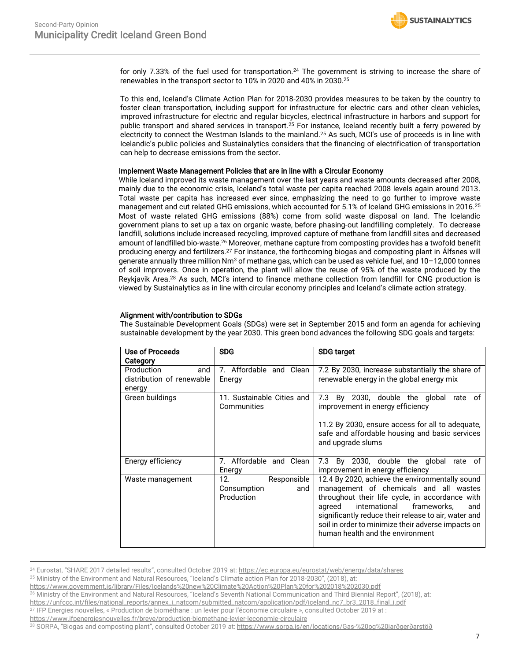<span id="page-6-0"></span>

for only 7.33% of the fuel used for transportation.<sup>24</sup> The government is striving to increase the share of renewables in the transport sector to 10% in 2020 and 40% in 2030.[25](#page-6-0)

To this end, Iceland's Climate Action Plan for 2018-2030 provides measures to be taken by the country to foster clean transportation, including support for infrastructure for electric cars and other clean vehicles, improved infrastructure for electric and regular bicycles, electrical infrastructure in harbors and support for public transport and shared services in transport.<sup>25</sup> For instance, Iceland recently built a ferry powered by electricity to connect the Westman Islands to the mainland.<sup>[25](#page-6-0)</sup> As such, MCI's use of proceeds is in line with Icelandic's public policies and Sustainalytics considers that the financing of electrification of transportation can help to decrease emissions from the sector.

#### Implement Waste Management Policies that are in line with a Circular Economy

While Iceland improved its waste management over the last years and waste amounts decreased after 2008, mainly due to the economic crisis, Iceland's total waste per capita reached 2008 levels again around 2013. Total waste per capita has increased ever since, emphasizing the need to go further to improve waste management and cut related GHG emissions, which accounted for 5.1% of Iceland GHG emissions in 2016.<sup>[25](#page-6-0)</sup> Most of waste related GHG emissions (88%) come from solid waste disposal on land. The Icelandic government plans to set up a tax on organic waste, before phasing-out landfilling completely. To decrease landfill, solutions include increased recycling, improved capture of methane from landfill sites and decreased amount of landfilled bio-waste.<sup>26</sup> Moreover, methane capture from composting provides has a twofold benefit producing energy and fertilizers.<sup>27</sup> For instance, the forthcoming biogas and composting plant in Álfsnes will generate annually three million Nm<sup>3</sup> of methane gas, which can be used as vehicle fuel, and 10-12,000 tonnes of soil improvers. Once in operation, the plant will allow the reuse of 95% of the waste produced by the Reykjavik Area.<sup>28</sup> As such, MCI's intend to finance methane collection from landfill for CNG production is viewed by Sustainalytics as in line with circular economy principles and Iceland's climate action strategy.

### Alignment with/contribution to SDGs

The Sustainable Development Goals (SDGs) were set in September 2015 and form an agenda for achieving sustainable development by the year 2030. This green bond advances the following SDG goals and targets:

| Use of Proceeds           | <b>SDG</b>                                             | <b>SDG target</b>                                                                                                                                                                                                                                                                                                                               |
|---------------------------|--------------------------------------------------------|-------------------------------------------------------------------------------------------------------------------------------------------------------------------------------------------------------------------------------------------------------------------------------------------------------------------------------------------------|
| Category                  |                                                        |                                                                                                                                                                                                                                                                                                                                                 |
| and<br>Production         | 7. Affordable and Clean                                | 7.2 By 2030, increase substantially the share of                                                                                                                                                                                                                                                                                                |
| distribution of renewable | Energy                                                 | renewable energy in the global energy mix                                                                                                                                                                                                                                                                                                       |
| energy                    |                                                        |                                                                                                                                                                                                                                                                                                                                                 |
| Green buildings           | 11. Sustainable Cities and<br>Communities              | 7.3 By 2030, double the global rate of<br>improvement in energy efficiency                                                                                                                                                                                                                                                                      |
|                           |                                                        | 11.2 By 2030, ensure access for all to adequate,<br>safe and affordable housing and basic services<br>and upgrade slums                                                                                                                                                                                                                         |
| Energy efficiency         | 7. Affordable and Clean<br>Energy                      | 7.3 By 2030, double the global rate of<br>improvement in energy efficiency                                                                                                                                                                                                                                                                      |
| Waste management          | 12.<br>Responsible<br>Consumption<br>and<br>Production | 12.4 By 2020, achieve the environmentally sound<br>management of chemicals and all wastes<br>throughout their life cycle, in accordance with<br>international<br>frameworks,<br>agreed<br>and<br>significantly reduce their release to air, water and<br>soil in order to minimize their adverse impacts on<br>human health and the environment |

<sup>24</sup> Eurostat, "SHARE 2017 detailed results", consulted October 2019 at: <https://ec.europa.eu/eurostat/web/energy/data/shares> <sup>25</sup> Ministry of the Environment and Natural Resources, "Iceland's Climate action Plan for 2018-2030", (2018), at:

<sup>26</sup> Ministry of the Environment and Natural Resources, "Iceland's Seventh National Communication and Third Biennial Report", (2018), at:

<https://www.government.is/library/Files/Icelands%20new%20Climate%20Action%20Plan%20for%202018%202030.pdf>

[https://unfccc.int/files/national\\_reports/annex\\_i\\_natcom/submitted\\_natcom/application/pdf/iceland\\_nc7\\_br3\\_2018\\_final\\_i.pdf](https://unfccc.int/files/national_reports/annex_i_natcom/submitted_natcom/application/pdf/iceland_nc7_br3_2018_final_i.pdf) <sup>27</sup> IFP Energies nouvelles, « Production de biométhane : un levier pour l'économie circulaire », consulted October 2019 at :

<https://www.ifpenergiesnouvelles.fr/breve/production-biomethane-levier-leconomie-circulaire>

<sup>28</sup> SORPA, "Biogas and composting plant", consulted October 2019 at[: https://www.sorpa.is/en/locations/Gas-%20og%20jarðgerðarstöð](https://www.sorpa.is/en/locations/Gas-%20og%20jarðgerðarstöð)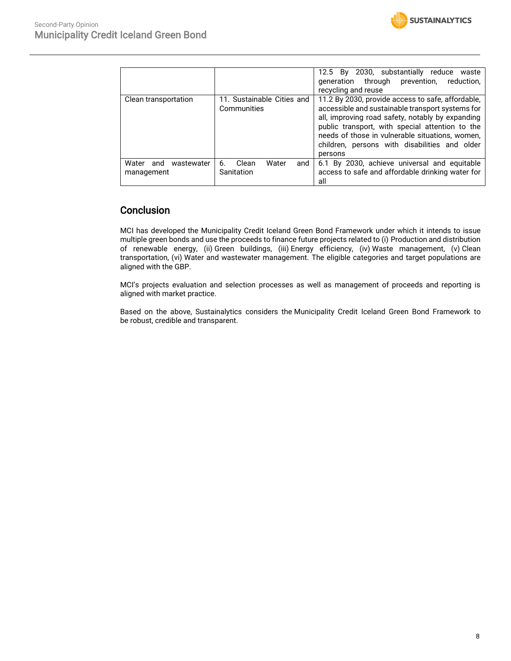

|                                          |                                           | 12.5 By 2030, substantially reduce waste<br>through<br>prevention,<br>reduction,<br>qeneration<br>recycling and reuse                                                                                                                                                                                                       |
|------------------------------------------|-------------------------------------------|-----------------------------------------------------------------------------------------------------------------------------------------------------------------------------------------------------------------------------------------------------------------------------------------------------------------------------|
| Clean transportation                     | 11. Sustainable Cities and<br>Communities | 11.2 By 2030, provide access to safe, affordable,<br>accessible and sustainable transport systems for<br>all, improving road safety, notably by expanding<br>public transport, with special attention to the<br>needs of those in vulnerable situations, women,<br>children, persons with disabilities and older<br>persons |
| Water<br>wastewater<br>and<br>management | Water<br>Clean<br>6.<br>and<br>Sanitation | 6.1 By 2030, achieve universal and equitable<br>access to safe and affordable drinking water for<br>all                                                                                                                                                                                                                     |

# **Conclusion**

MCI has developed the Municipality Credit Iceland Green Bond Framework under which it intends to issue multiple green bonds and use the proceeds to finance future projects related to (i) Production and distribution of renewable energy, (ii) Green buildings, (iii) Energy efficiency, (iv) Waste management, (v) Clean transportation, (vi) Water and wastewater management. The eligible categories and target populations are aligned with the GBP.

MCI's projects evaluation and selection processes as well as management of proceeds and reporting is aligned with market practice.

Based on the above, Sustainalytics considers the Municipality Credit Iceland Green Bond Framework to be robust, credible and transparent.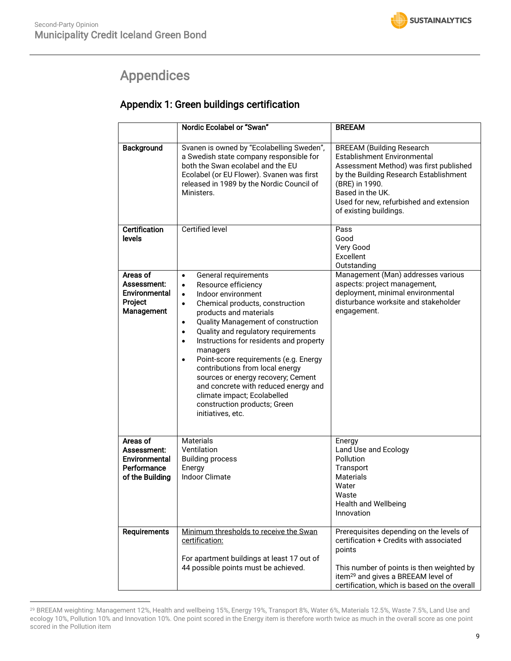# <span id="page-8-0"></span>Appendices

# Appendix 1: Green buildings certification

|                                                                            | Nordic Ecolabel or "Swan"                                                                                                                                                                                                                                                                                                                                                                                                                                                                                                                                                                                                | <b>BREEAM</b>                                                                                                                                                                                                                                                  |
|----------------------------------------------------------------------------|--------------------------------------------------------------------------------------------------------------------------------------------------------------------------------------------------------------------------------------------------------------------------------------------------------------------------------------------------------------------------------------------------------------------------------------------------------------------------------------------------------------------------------------------------------------------------------------------------------------------------|----------------------------------------------------------------------------------------------------------------------------------------------------------------------------------------------------------------------------------------------------------------|
| Background                                                                 | Svanen is owned by "Ecolabelling Sweden",<br>a Swedish state company responsible for<br>both the Swan ecolabel and the EU<br>Ecolabel (or EU Flower). Svanen was first<br>released in 1989 by the Nordic Council of<br>Ministers.                                                                                                                                                                                                                                                                                                                                                                                        | <b>BREEAM (Building Research</b><br>Establishment Environmental<br>Assessment Method) was first published<br>by the Building Research Establishment<br>(BRE) in 1990.<br>Based in the UK.<br>Used for new, refurbished and extension<br>of existing buildings. |
| <b>Certification</b><br>levels                                             | <b>Certified level</b>                                                                                                                                                                                                                                                                                                                                                                                                                                                                                                                                                                                                   | Pass<br>Good<br>Very Good<br>Excellent<br>Outstanding                                                                                                                                                                                                          |
| Areas of<br>Assessment:<br>Environmental<br>Project<br>Management          | General requirements<br>$\bullet$<br>Resource efficiency<br>$\bullet$<br>Indoor environment<br>$\bullet$<br>Chemical products, construction<br>$\bullet$<br>products and materials<br>Quality Management of construction<br>$\bullet$<br>Quality and regulatory requirements<br>$\bullet$<br>Instructions for residents and property<br>$\bullet$<br>managers<br>Point-score requirements (e.g. Energy<br>$\bullet$<br>contributions from local energy<br>sources or energy recovery; Cement<br>and concrete with reduced energy and<br>climate impact; Ecolabelled<br>construction products; Green<br>initiatives, etc. | Management (Man) addresses various<br>aspects: project management,<br>deployment, minimal environmental<br>disturbance worksite and stakeholder<br>engagement.                                                                                                 |
| Areas of<br>Assessment:<br>Environmental<br>Performance<br>of the Building | <b>Materials</b><br>Ventilation<br><b>Building process</b><br>Energy<br><b>Indoor Climate</b>                                                                                                                                                                                                                                                                                                                                                                                                                                                                                                                            | Energy<br>Land Use and Ecology<br>Pollution<br>Transport<br>Materials<br>Water<br>Waste<br><b>Health and Wellbeing</b><br>Innovation                                                                                                                           |
| Requirements                                                               | Minimum thresholds to receive the Swan<br>certification:<br>For apartment buildings at least 17 out of<br>44 possible points must be achieved.                                                                                                                                                                                                                                                                                                                                                                                                                                                                           | Prerequisites depending on the levels of<br>certification + Credits with associated<br>points<br>This number of points is then weighted by<br>item <sup>29</sup> and gives a BREEAM level of<br>certification, which is based on the overall                   |

<sup>29</sup> BREEAM weighting: Management 12%, Health and wellbeing 15%, Energy 19%, Transport 8%, Water 6%, Materials 12.5%, Waste 7.5%, Land Use and ecology 10%, Pollution 10% and Innovation 10%. One point scored in the Energy item is therefore worth twice as much in the overall score as one point scored in the Pollution item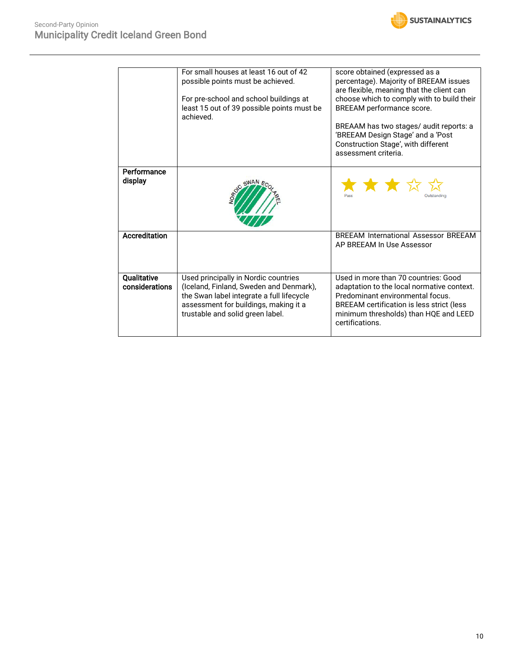

|                               | For small houses at least 16 out of 42<br>possible points must be achieved.<br>For pre-school and school buildings at<br>least 15 out of 39 possible points must be<br>achieved.                          | score obtained (expressed as a<br>percentage). Majority of BREEAM issues<br>are flexible, meaning that the client can<br>choose which to comply with to build their<br>BREEAM performance score.<br>BREAAM has two stages/ audit reports: a<br>'BREEAM Design Stage' and a 'Post<br>Construction Stage', with different<br>assessment criteria. |
|-------------------------------|-----------------------------------------------------------------------------------------------------------------------------------------------------------------------------------------------------------|-------------------------------------------------------------------------------------------------------------------------------------------------------------------------------------------------------------------------------------------------------------------------------------------------------------------------------------------------|
| Performance<br>display        |                                                                                                                                                                                                           | ★★★☆☆                                                                                                                                                                                                                                                                                                                                           |
| <b>Accreditation</b>          |                                                                                                                                                                                                           | <b>BRFFAM International Assessor BRFFAM</b><br>AP BREEAM In Use Assessor                                                                                                                                                                                                                                                                        |
| Qualitative<br>considerations | Used principally in Nordic countries<br>(Iceland, Finland, Sweden and Denmark),<br>the Swan label integrate a full lifecycle<br>assessment for buildings, making it a<br>trustable and solid green label. | Used in more than 70 countries: Good<br>adaptation to the local normative context.<br>Predominant environmental focus.<br>BREEAM certification is less strict (less<br>minimum thresholds) than HQE and LEED<br>certifications.                                                                                                                 |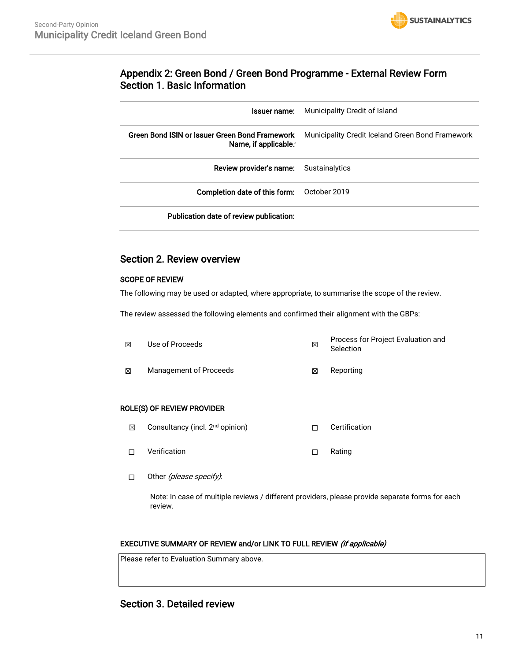

## Appendix 2: Green Bond / Green Bond Programme - External Review Form Section 1. Basic Information

| Issuer name:                                                           | Municipality Credit of Island                    |
|------------------------------------------------------------------------|--------------------------------------------------|
| Green Bond ISIN or Issuer Green Bond Framework<br>Name, if applicable. | Municipality Credit Iceland Green Bond Framework |
| Review provider's name:                                                | Sustainalytics                                   |
| <b>Completion date of this form:</b> October 2019                      |                                                  |
| Publication date of review publication:                                |                                                  |

## Section 2. Review overview

### SCOPE OF REVIEW

The following may be used or adapted, where appropriate, to summarise the scope of the review.

The review assessed the following elements and confirmed their alignment with the GBPs:

| 冈 | Use of Proceeds        | ⊠ | Process for Project Evaluation and<br>Selection |
|---|------------------------|---|-------------------------------------------------|
| ⊠ | Management of Proceeds | ⊠ | Reporting                                       |

### ROLE(S) OF REVIEW PROVIDER

- ☒ Consultancy (incl. 2nd opinion) ☐ Certification
- ☐ Verification ☐ Rating
- □ Other (please specify):

Note: In case of multiple reviews / different providers, please provide separate forms for each review.

### EXECUTIVE SUMMARY OF REVIEW and/or LINK TO FULL REVIEW (if applicable)

Please refer to Evaluation Summary above.

## Section 3. Detailed review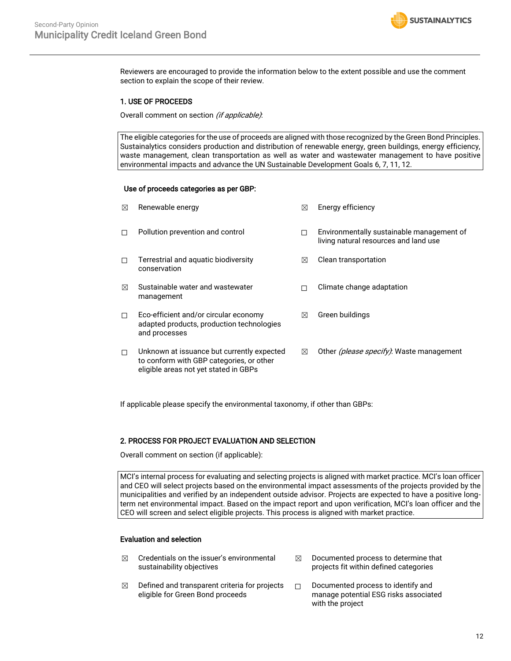

Reviewers are encouraged to provide the information below to the extent possible and use the comment section to explain the scope of their review.

#### 1. USE OF PROCEEDS

Overall comment on section *(if applicable)*:

The eligible categories for the use of proceeds are aligned with those recognized by the Green Bond Principles. Sustainalytics considers production and distribution of renewable energy, green buildings, energy efficiency, waste management, clean transportation as well as water and wastewater management to have positive environmental impacts and advance the UN Sustainable Development Goals 6, 7, 11, 12.

#### Use of proceeds categories as per GBP:

| ⊠           | Renewable energy                                                                                                                | ⊠ | Energy efficiency                                                                  |
|-------------|---------------------------------------------------------------------------------------------------------------------------------|---|------------------------------------------------------------------------------------|
| П           | Pollution prevention and control                                                                                                | П | Environmentally sustainable management of<br>living natural resources and land use |
| П           | Terrestrial and aquatic biodiversity<br>conservation                                                                            | ⊠ | Clean transportation                                                               |
| $\boxtimes$ | Sustainable water and wastewater<br>management                                                                                  | П | Climate change adaptation                                                          |
| П           | Eco-efficient and/or circular economy<br>adapted products, production technologies<br>and processes                             | ⊠ | Green buildings                                                                    |
| □           | Unknown at issuance but currently expected<br>to conform with GBP categories, or other<br>eligible areas not yet stated in GBPs | ⊠ | Other (please specify): Waste management                                           |

If applicable please specify the environmental taxonomy, if other than GBPs:

### 2. PROCESS FOR PROJECT EVALUATION AND SELECTION

Overall comment on section (if applicable):

MCI's internal process for evaluating and selecting projects is aligned with market practice. MCI's loan officer and CEO will select projects based on the environmental impact assessments of the projects provided by the municipalities and verified by an independent outside advisor. Projects are expected to have a positive longterm net environmental impact. Based on the impact report and upon verification, MCI's loan officer and the CEO will screen and select eligible projects. This process is aligned with market practice.

#### Evaluation and selection

- $\boxtimes$  Credentials on the issuer's environmental sustainability objectives
- $\boxtimes$  Defined and transparent criteria for projects eligible for Green Bond proceeds
- $\boxtimes$  Documented process to determine that projects fit within defined categories
- ☐ Documented process to identify and manage potential ESG risks associated with the project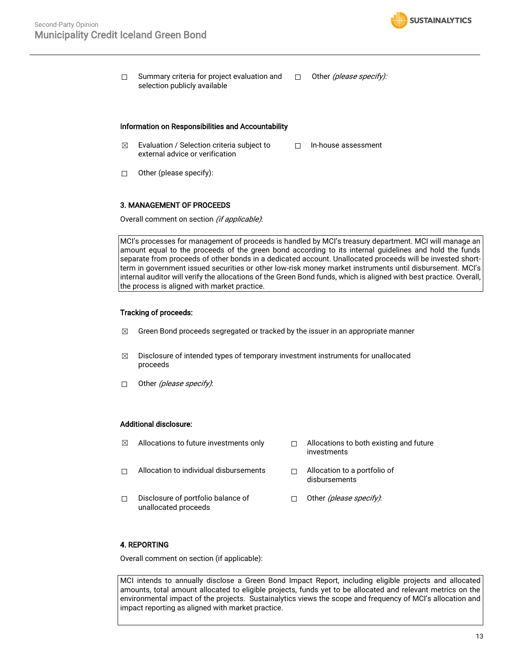

□ Summary criteria for project evaluation and selection publicly available □ Other *(please specify):* 

#### Information on Responsibilities and Accountability

- $\boxtimes$  Evaluation / Selection criteria subject to external advice or verification ☐ In-house assessment
- ☐ Other (please specify):

#### 3. MANAGEMENT OF PROCEEDS

Overall comment on section (if applicable):

MCI's processes for management of proceeds is handled by MCI's treasury department. MCI will manage an amount equal to the proceeds of the green bond according to its internal guidelines and hold the funds separate from proceeds of other bonds in a dedicated account. Unallocated proceeds will be invested shortterm in government issued securities or other low-risk money market instruments until disbursement. MCI's internal auditor will verify the allocations of the Green Bond funds, which is aligned with best practice. Overall, the process is aligned with market practice.

#### Tracking of proceeds:

- $\boxtimes$  Green Bond proceeds segregated or tracked by the issuer in an appropriate manner
- $\boxtimes$  Disclosure of intended types of temporary investment instruments for unallocated proceeds
- □ Other *(please specify)*:

#### Additional disclosure:

- $\boxtimes$  Allocations to future investments only  $\Box$  Allocations to both existing and future
- investments
- ☐ Allocation to individual disbursements ☐ Allocation to a portfolio of
- disbursements
- ☐ Disclosure of portfolio balance of unallocated proceeds □ Other *(please specify)*:

### 4. REPORTING

Overall comment on section (if applicable):

MCI intends to annually disclose a Green Bond Impact Report, including eligible projects and allocated amounts, total amount allocated to eligible projects, funds yet to be allocated and relevant metrics on the environmental impact of the projects. Sustainalytics views the scope and frequency of MCI's allocation and impact reporting as aligned with market practice.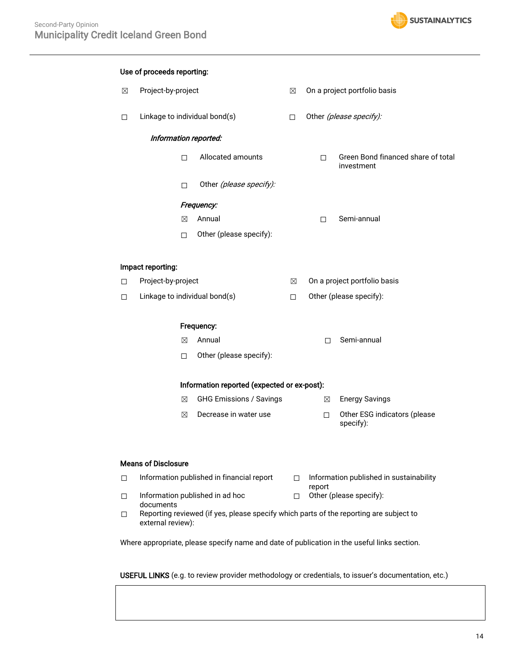

|             | Use of proceeds reporting:    |                                             |             |             |                                                  |
|-------------|-------------------------------|---------------------------------------------|-------------|-------------|--------------------------------------------------|
| $\boxtimes$ | Project-by-project            |                                             | ⊠           |             | On a project portfolio basis                     |
| $\Box$      | Linkage to individual bond(s) |                                             | П           |             | Other (please specify):                          |
|             | Information reported:         |                                             |             |             |                                                  |
|             | $\Box$                        | Allocated amounts                           |             | $\Box$      | Green Bond financed share of total<br>investment |
|             | П                             | Other (please specify):                     |             |             |                                                  |
|             |                               | Frequency:                                  |             |             |                                                  |
|             | ⊠                             | Annual                                      |             | $\Box$      | Semi-annual                                      |
|             | □                             | Other (please specify):                     |             |             |                                                  |
|             |                               |                                             |             |             |                                                  |
|             | Impact reporting:             |                                             |             |             |                                                  |
| □           | Project-by-project            |                                             | $\boxtimes$ |             | On a project portfolio basis                     |
| □           | Linkage to individual bond(s) |                                             | $\Box$      |             | Other (please specify):                          |
|             | Frequency:                    |                                             |             |             |                                                  |
|             | ⊠                             | Annual                                      |             | $\Box$      | Semi-annual                                      |
|             | $\Box$                        | Other (please specify):                     |             |             |                                                  |
|             |                               | Information reported (expected or ex-post): |             |             |                                                  |
|             | ⊠                             | <b>GHG Emissions / Savings</b>              |             | $\boxtimes$ | <b>Energy Savings</b>                            |
|             |                               |                                             |             |             |                                                  |
|             | $\boxtimes$                   | Decrease in water use                       |             | $\Box$      | Other ESG indicators (please<br>specify):        |
|             |                               |                                             |             |             |                                                  |

#### Means of Disclosure

| Information published in financial report |        | Information published in sustainability |
|-------------------------------------------|--------|-----------------------------------------|
| Information published in ad hoc           | $\Box$ | report<br>Other (please specify):       |
| documents                                 |        |                                         |

☐ Reporting reviewed (if yes, please specify which parts of the reporting are subject to external review):

Where appropriate, please specify name and date of publication in the useful links section.

USEFUL LINKS (e.g. to review provider methodology or credentials, to issuer's documentation, etc.)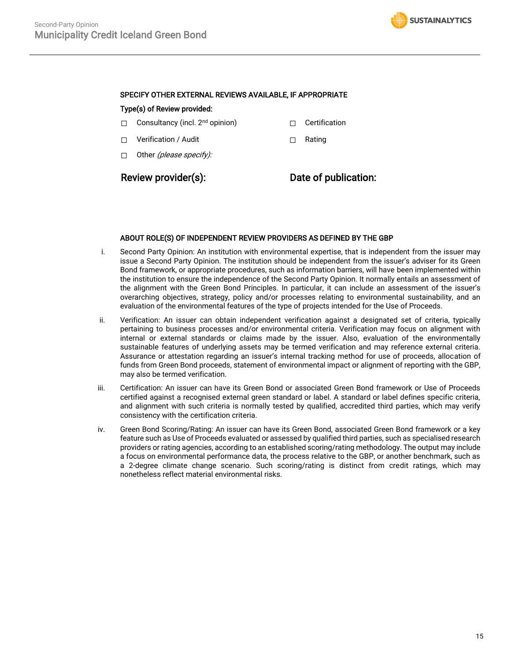#### SPECIFY OTHER EXTERNAL REVIEWS AVAILABLE, IF APPROPRIATE

#### Type(s) of Review provided:

- □ Consultancy (incl. 2<sup>nd</sup> opinion) □ Certification
- ☐ Verification / Audit ☐ Rating
- □ Other (*please specify)*:

Review provider(s): Date of publication:

#### ABOUT ROLE(S) OF INDEPENDENT REVIEW PROVIDERS AS DEFINED BY THE GBP

- i. Second Party Opinion: An institution with environmental expertise, that is independent from the issuer may issue a Second Party Opinion. The institution should be independent from the issuer's adviser for its Green Bond framework, or appropriate procedures, such as information barriers, will have been implemented within the institution to ensure the independence of the Second Party Opinion. It normally entails an assessment of the alignment with the Green Bond Principles. In particular, it can include an assessment of the issuer's overarching objectives, strategy, policy and/or processes relating to environmental sustainability, and an evaluation of the environmental features of the type of projects intended for the Use of Proceeds.
- ii. Verification: An issuer can obtain independent verification against a designated set of criteria, typically pertaining to business processes and/or environmental criteria. Verification may focus on alignment with internal or external standards or claims made by the issuer. Also, evaluation of the environmentally sustainable features of underlying assets may be termed verification and may reference external criteria. Assurance or attestation regarding an issuer's internal tracking method for use of proceeds, allocation of funds from Green Bond proceeds, statement of environmental impact or alignment of reporting with the GBP, may also be termed verification.
- iii. Certification: An issuer can have its Green Bond or associated Green Bond framework or Use of Proceeds certified against a recognised external green standard or label. A standard or label defines specific criteria, and alignment with such criteria is normally tested by qualified, accredited third parties, which may verify consistency with the certification criteria.
- iv. Green Bond Scoring/Rating: An issuer can have its Green Bond, associated Green Bond framework or a key feature such as Use of Proceeds evaluated or assessed by qualified third parties, such as specialised research providers or rating agencies, according to an established scoring/rating methodology. The output may include a focus on environmental performance data, the process relative to the GBP, or another benchmark, such as a 2-degree climate change scenario. Such scoring/rating is distinct from credit ratings, which may nonetheless reflect material environmental risks.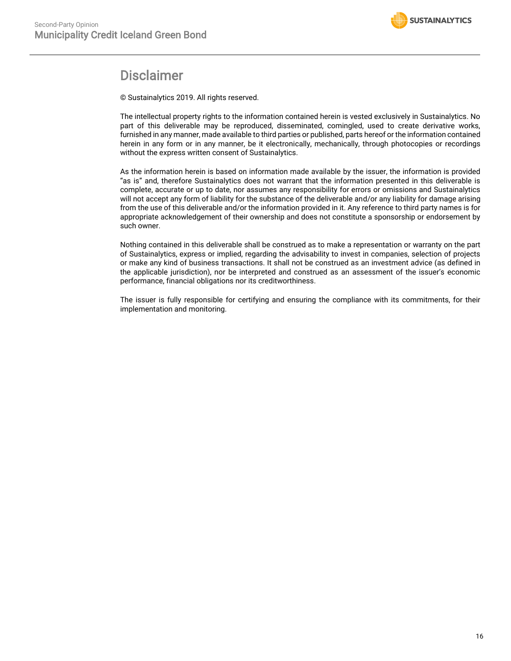

# Disclaimer

© Sustainalytics 2019. All rights reserved.

The intellectual property rights to the information contained herein is vested exclusively in Sustainalytics. No part of this deliverable may be reproduced, disseminated, comingled, used to create derivative works, furnished in any manner, made available to third parties or published, parts hereof or the information contained herein in any form or in any manner, be it electronically, mechanically, through photocopies or recordings without the express written consent of Sustainalytics.

As the information herein is based on information made available by the issuer, the information is provided "as is" and, therefore Sustainalytics does not warrant that the information presented in this deliverable is complete, accurate or up to date, nor assumes any responsibility for errors or omissions and Sustainalytics will not accept any form of liability for the substance of the deliverable and/or any liability for damage arising from the use of this deliverable and/or the information provided in it. Any reference to third party names is for appropriate acknowledgement of their ownership and does not constitute a sponsorship or endorsement by such owner.

Nothing contained in this deliverable shall be construed as to make a representation or warranty on the part of Sustainalytics, express or implied, regarding the advisability to invest in companies, selection of projects or make any kind of business transactions. It shall not be construed as an investment advice (as defined in the applicable jurisdiction), nor be interpreted and construed as an assessment of the issuer's economic performance, financial obligations nor its creditworthiness.

The issuer is fully responsible for certifying and ensuring the compliance with its commitments, for their implementation and monitoring.